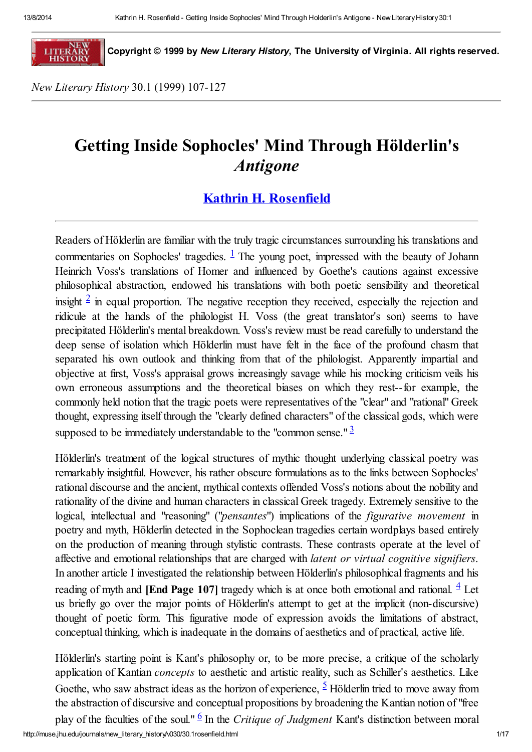

Copyright © 1999 by New Literary History, The University of Virginia. All rights reserved.

*New Literary History* 30.1 (1999) 107-127

## Getting Inside Sophocles' Mind Through Hölderlin's *Antigone*

## <span id="page-0-2"></span><span id="page-0-0"></span>Kathrin H. [Rosenfield](#page-12-0)

<span id="page-0-1"></span>Readers of Hölderlin are familiar with the truly tragic circumstances surrounding his translations and commentaries on Sophocles' tragedies.  $\frac{1}{2}$  $\frac{1}{2}$  $\frac{1}{2}$  The young poet, impressed with the beauty of Johann Heinrich Voss's translations of Homer and influenced by Goethe's cautions against excessive philosophical abstraction, endowed his translations with both poetic sensibility and theoretical insight  $\frac{2}{3}$  $\frac{2}{3}$  $\frac{2}{3}$  in equal proportion. The negative reception they received, especially the rejection and ridicule at the hands of the philologist H. Voss (the great translator's son) seems to have precipitated Hölderlin's mental breakdown. Voss's review must be read carefully to understand the deep sense of isolation which Hölderlin must have felt in the face of the profound chasm that separated his own outlook and thinking from that of the philologist. Apparently impartial and objective at first, Voss's appraisal grows increasingly savage while his mocking criticism veils his own erroneous assumptions and the theoretical biases on which they rest--for example, the commonly held notion that the tragic poets were representatives of the "clear" and "rational" Greek thought, expressing itself through the "clearly defined characters" of the classical gods, which were supposed to be immediately understandable to the "common sense."  $\frac{3}{2}$  $\frac{3}{2}$  $\frac{3}{2}$ 

<span id="page-0-3"></span>Hölderlin's treatment of the logical structures of mythic thought underlying classical poetry was remarkably insightful. However, his rather obscure formulations as to the links between Sophocles' rational discourse and the ancient, mythical contexts offended Voss's notions about the nobility and rationality of the divine and human characters in classical Greek tragedy. Extremely sensitive to the logical, intellectual and "reasoning" ("*pensantes*") implications of the *figurative movement* in poetry and myth, Hölderlin detected in the Sophoclean tragedies certain wordplays based entirely on the production of meaning through stylistic contrasts. These contrasts operate at the level of affective and emotional relationships that are charged with *latent or virtual cognitive signifiers*. In another article I investigated the relationship between Hölderlin's philosophical fragments and his reading of myth and [End Page 107] tragedy which is at once both emotional and rational.  $4$  Let us briefly go over the major points of Hölderlin's attempt to get at the implicit (non-discursive) thought of poetic form. This figurative mode of expression avoids the limitations of abstract, conceptual thinking, which is inadequate in the domains of aesthetics and of practical, active life.

<span id="page-0-5"></span><span id="page-0-4"></span>http://muse.jhu.edu/journals/new\_literary\_history/v030/30.1rosenfield.html 1/17 Hölderlin's starting point is Kant's philosophy or, to be more precise, a critique of the scholarly application of Kantian *concepts* to aesthetic and artistic reality, such as Schiller's aesthetics. Like Goethe, who saw abstract ideas as the horizon of experience,  $\frac{5}{5}$  $\frac{5}{5}$  $\frac{5}{5}$  Hölderlin tried to move away from the abstraction of discursive and conceptual propositions by broadening the Kantian notion of "free play of the faculties of the soul." [6](#page-13-3) In the *Critique of Judgment* Kant's distinction between moral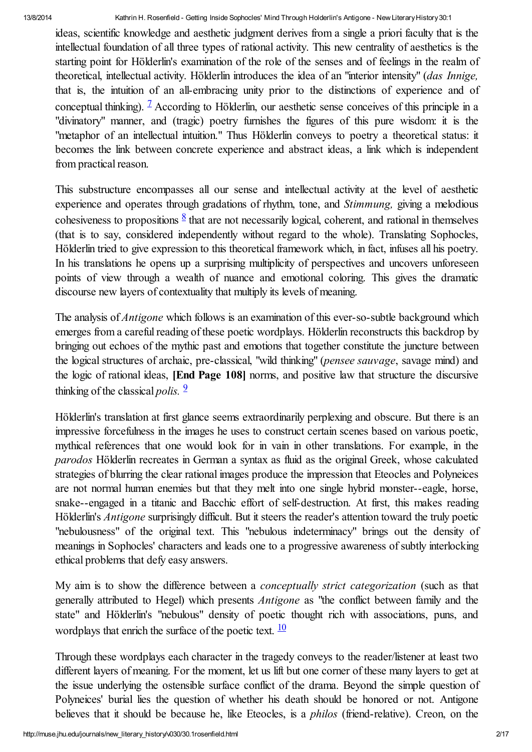<span id="page-1-0"></span>ideas, scientific knowledge and aesthetic judgment derives from a single a priori faculty that is the intellectual foundation of all three types of rational activity. This new centrality of aesthetics is the starting point for Hölderlin's examination of the role of the senses and of feelings in the realm of theoretical, intellectual activity. Hölderlin introduces the idea of an "interior intensity" (*das Innige,* that is, the intuition of an all-embracing unity prior to the distinctions of experience and of conceptual thinking). <sup> $\frac{1}{2}$ </sup> According to Hölderlin, our aesthetic sense conceives of this principle in a "divinatory" manner, and (tragic) poetry furnishes the figures of this pure wisdom: it is the "metaphor of an intellectual intuition." Thus Hölderlin conveys to poetry a theoretical status: it becomes the link between concrete experience and abstract ideas, a link which is independent from practical reason.

<span id="page-1-1"></span>This substructure encompasses all our sense and intellectual activity at the level of aesthetic experience and operates through gradations of rhythm, tone, and *Stimmung,* giving a melodious cohesiveness to propositions  $\frac{8}{5}$  $\frac{8}{5}$  $\frac{8}{5}$  that are not necessarily logical, coherent, and rational in themselves (that is to say, considered independently without regard to the whole). Translating Sophocles, Hölderlin tried to give expression to this theoretical framework which, in fact, infuses all his poetry. In his translations he opens up a surprising multiplicity of perspectives and uncovers unforeseen points of view through a wealth of nuance and emotional coloring. This gives the dramatic discourse new layers of contextuality that multiply its levels of meaning.

The analysis of *Antigone* which follows is an examination of this ever-so-subtle background which emerges from a careful reading of these poetic wordplays. Hölderlin reconstructs this backdrop by bringing out echoes of the mythic past and emotions that together constitute the juncture between the logical structures of archaic, pre-classical, "wild thinking" (*pensee sauvage*, savage mind) and the logic of rational ideas, [End Page 108] norms, and positive law that structure the discursive thinking of the classical *polis.* [9](#page-13-6)

<span id="page-1-2"></span>Hölderlin's translation at first glance seems extraordinarily perplexing and obscure. But there is an impressive forcefulness in the images he uses to construct certain scenes based on various poetic, mythical references that one would look for in vain in other translations. For example, in the *parodos* Hölderlin recreates in German a syntax as fluid as the original Greek, whose calculated strategies of blurring the clear rational images produce the impression that Eteocles and Polyneices are not normal human enemies but that they melt into one single hybrid monster--eagle, horse, snake--engaged in a titanic and Bacchic effort of self-destruction. At first, this makes reading Hölderlin's *Antigone* surprisingly difficult. But it steers the reader's attention toward the truly poetic "nebulousness" of the original text. This "nebulous indeterminacy" brings out the density of meanings in Sophocles' characters and leads one to a progressive awareness of subtly interlocking ethical problems that defy easy answers.

My aim is to show the difference between a *conceptually strict categorization* (such as that generally attributed to Hegel) which presents *Antigone* as "the conflict between family and the state" and Hölderlin's "nebulous" density of poetic thought rich with associations, puns, and wordplays that enrich the surface of the poetic text.  $\frac{10}{10}$  $\frac{10}{10}$  $\frac{10}{10}$ 

<span id="page-1-3"></span>Through these wordplays each character in the tragedy conveys to the reader/listener at least two different layers of meaning. For the moment, let us lift but one corner of these many layers to get at the issue underlying the ostensible surface conflict of the drama. Beyond the simple question of Polyneices' burial lies the question of whether his death should be honored or not. Antigone believes that it should be because he, like Eteocles, is a *philos* (friend-relative). Creon, on the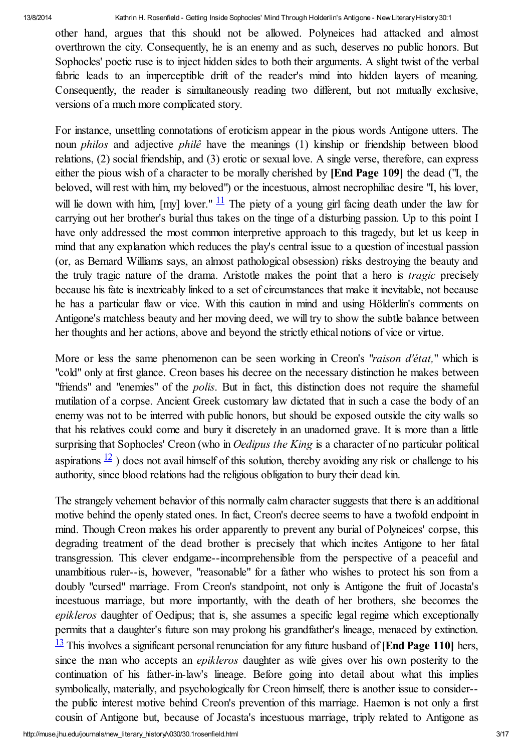other hand, argues that this should not be allowed. Polyneices had attacked and almost overthrown the city. Consequently, he is an enemy and as such, deserves no public honors. But Sophocles' poetic ruse is to inject hidden sides to both their arguments. A slight twist of the verbal fabric leads to an imperceptible drift of the reader's mind into hidden layers of meaning. Consequently, the reader is simultaneously reading two different, but not mutually exclusive, versions of a much more complicated story.

<span id="page-2-0"></span>For instance, unsettling connotations of eroticism appear in the pious words Antigone utters. The noun *philos* and adjective *philê* have the meanings (1) kinship or friendship between blood relations, (2) social friendship, and (3) erotic or sexual love. A single verse, therefore, can express either the pious wish of a character to be morally cherished by [End Page 109] the dead ("I, the beloved, will rest with him, my beloved") or the incestuous, almost necrophiliac desire "I, his lover, will lie down with him, [my] lover."  $\frac{11}{1}$  $\frac{11}{1}$  $\frac{11}{1}$  The piety of a young girl facing death under the law for carrying out her brother's burial thus takes on the tinge of a disturbing passion. Up to this point I have only addressed the most common interpretive approach to this tragedy, but let us keep in mind that any explanation which reduces the play's central issue to a question of incestual passion (or, as Bernard Williams says, an almost pathological obsession) risks destroying the beauty and the truly tragic nature of the drama. Aristotle makes the point that a hero is *tragic* precisely because his fate is inextricably linked to a set of circumstances that make it inevitable, not because he has a particular flaw or vice. With this caution in mind and using Hölderlin's comments on Antigone's matchless beauty and her moving deed, we will try to show the subtle balance between her thoughts and her actions, above and beyond the strictly ethical notions of vice or virtue.

More or less the same phenomenon can be seen working in Creon's "*raison d'état,*" which is "cold" only at first glance. Creon bases his decree on the necessary distinction he makes between "friends" and "enemies" of the *polis*. But in fact, this distinction does not require the shameful mutilation of a corpse. Ancient Greek customary law dictated that in such a case the body of an enemy was not to be interred with public honors, but should be exposed outside the city walls so that his relatives could come and bury it discretely in an unadorned grave. It is more than a little surprising that Sophocles' Creon (who in *Oedipus the King* is a character of no particular political aspirations  $\frac{12}{2}$  $\frac{12}{2}$  $\frac{12}{2}$ ) does not avail himself of this solution, thereby avoiding any risk or challenge to his authority, since blood relations had the religious obligation to bury their dead kin.

<span id="page-2-2"></span><span id="page-2-1"></span>The strangely vehement behavior of this normally calm character suggests that there is an additional motive behind the openly stated ones. In fact, Creon's decree seems to have a twofold endpoint in mind. Though Creon makes his order apparently to prevent any burial of Polyneices' corpse, this degrading treatment of the dead brother is precisely that which incites Antigone to her fatal transgression. This clever endgame--incomprehensible from the perspective of a peaceful and unambitious ruler--is, however, "reasonable" for a father who wishes to protect his son from a doubly "cursed" marriage. From Creon's standpoint, not only is Antigone the fruit of Jocasta's incestuous marriage, but more importantly, with the death of her brothers, she becomes the *epikleros* daughter of Oedipus; that is, she assumes a specific legal regime which exceptionally permits that a daughter's future son may prolong his grandfather's lineage, menaced by extinction.  $\frac{13}{2}$  $\frac{13}{2}$  $\frac{13}{2}$  This involves a significant personal renunciation for any future husband of [End Page 110] hers, since the man who accepts an *epikleros* daughter as wife gives over his own posterity to the continuation of his father-in-law's lineage. Before going into detail about what this implies symbolically, materially, and psychologically for Creon himself, there is another issue to consider- the public interest motive behind Creon's prevention of this marriage. Haemon is not only a first cousin of Antigone but, because of Jocasta's incestuous marriage, triply related to Antigone as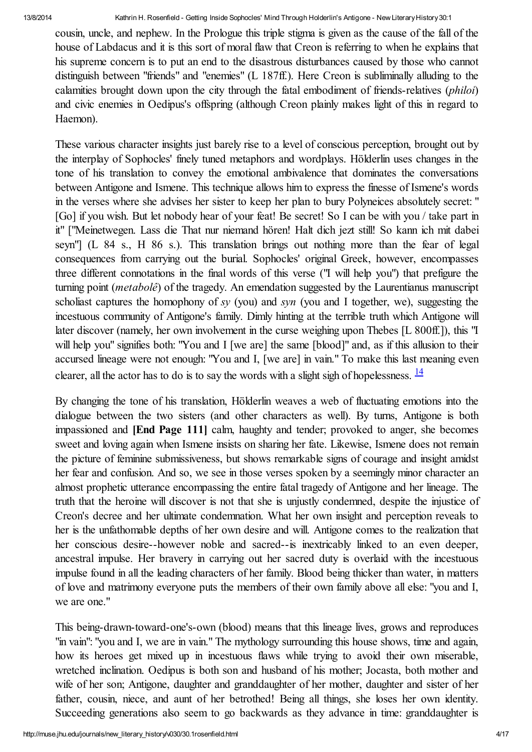cousin, uncle, and nephew. In the Prologue this triple stigma is given as the cause of the fall of the house of Labdacus and it is this sort of moral flaw that Creon is referring to when he explains that his supreme concern is to put an end to the disastrous disturbances caused by those who cannot distinguish between "friends" and "enemies" (L 187ff.). Here Creon is subliminally alluding to the calamities brought down upon the city through the fatal embodiment of friends-relatives (*philoi*) and civic enemies in Oedipus's offspring (although Creon plainly makes light of this in regard to Haemon).

These various character insights just barely rise to a level of conscious perception, brought out by the interplay of Sophocles' finely tuned metaphors and wordplays. Hölderlin uses changes in the tone of his translation to convey the emotional ambivalence that dominates the conversations between Antigone and Ismene. This technique allows him to express the finesse of Ismene's words in the verses where she advises her sister to keep her plan to bury Polyneices absolutely secret: " [Go] if you wish. But let nobody hear of your feat! Be secret! So I can be with you / take part in it" ["Meinetwegen. Lass die That nur niemand hören! Halt dich jezt still! So kann ich mit dabei seyn"] (L 84 s., H 86 s.). This translation brings out nothing more than the fear of legal consequences from carrying out the burial. Sophocles' original Greek, however, encompasses three different connotations in the final words of this verse ("I will help you") that prefigure the turning point (*metabolê*) of the tragedy. An emendation suggested by the Laurentianus manuscript scholiast captures the homophony of *sy* (you) and *syn* (you and I together, we), suggesting the incestuous community of Antigone's family. Dimly hinting at the terrible truth which Antigone will later discover (namely, her own involvement in the curse weighing upon Thebes [L 800ff.]), this "I will help you" signifies both: "You and I [we are] the same [blood]" and, as if this allusion to their accursed lineage were not enough: "You and I, [we are] in vain." To make this last meaning even clearer, all the actor has to do is to say the words with a slight sigh of hopelessness.  $\frac{14}{3}$  $\frac{14}{3}$  $\frac{14}{3}$ 

<span id="page-3-0"></span>By changing the tone of his translation, Hölderlin weaves a web of fluctuating emotions into the dialogue between the two sisters (and other characters as well). By turns, Antigone is both impassioned and [End Page 111] calm, haughty and tender; provoked to anger, she becomes sweet and loving again when Ismene insists on sharing her fate. Likewise, Ismene does not remain the picture of feminine submissiveness, but shows remarkable signs of courage and insight amidst her fear and confusion. And so, we see in those verses spoken by a seemingly minor character an almost prophetic utterance encompassing the entire fatal tragedy of Antigone and her lineage. The truth that the heroine will discover is not that she is unjustly condemned, despite the injustice of Creon's decree and her ultimate condemnation. What her own insight and perception reveals to her is the unfathomable depths of her own desire and will. Antigone comes to the realization that her conscious desire--however noble and sacred--is inextricably linked to an even deeper, ancestral impulse. Her bravery in carrying out her sacred duty is overlaid with the incestuous impulse found in all the leading characters of her family. Blood being thicker than water, in matters of love and matrimony everyone puts the members of their own family above all else: "you and I, we are one."

This being-drawn-toward-one's-own (blood) means that this lineage lives, grows and reproduces "in vain": "you and I, we are in vain." The mythology surrounding this house shows, time and again, how its heroes get mixed up in incestuous flaws while trying to avoid their own miserable, wretched inclination. Oedipus is both son and husband of his mother; Jocasta, both mother and wife of her son; Antigone, daughter and granddaughter of her mother, daughter and sister of her father, cousin, niece, and aunt of her betrothed! Being all things, she loses her own identity. Succeeding generations also seem to go backwards as they advance in time: granddaughter is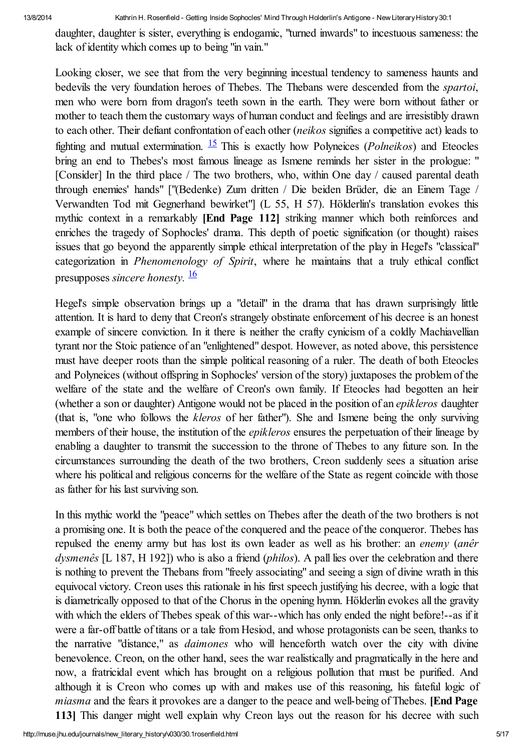daughter, daughter is sister, everything is endogamic, "turned inwards" to incestuous sameness: the lack of identity which comes up to being "in vain."

<span id="page-4-0"></span>Looking closer, we see that from the very beginning incestual tendency to sameness haunts and bedevils the very foundation heroes of Thebes. The Thebans were descended from the *spartoi*, men who were born from dragon's teeth sown in the earth. They were born without father or mother to teach them the customary ways of human conduct and feelings and are irresistibly drawn to each other. Their defiant confrontation of each other (*neikos* signifies a competitive act) leads to fighting and mutual extermination. [15](#page-14-3) This is exactly how Polyneices (*Polneikos*) and Eteocles bring an end to Thebes's most famous lineage as Ismene reminds her sister in the prologue: " [Consider] In the third place / The two brothers, who, within One day / caused parental death through enemies' hands" ["(Bedenke) Zum dritten / Die beiden Brüder, die an Einem Tage / Verwandten Tod mit Gegnerhand bewirket"] (L 55, H 57). Hölderlin's translation evokes this mythic context in a remarkably [End Page 112] striking manner which both reinforces and enriches the tragedy of Sophocles' drama. This depth of poetic signification (or thought) raises issues that go beyond the apparently simple ethical interpretation of the play in Hegel's "classical" categorization in *Phenomenology of Spirit*, where he maintains that a truly ethical conflict presupposes *sincere honesty.* [16](#page-14-4)

<span id="page-4-1"></span>Hegel's simple observation brings up a "detail" in the drama that has drawn surprisingly little attention. It is hard to deny that Creon's strangely obstinate enforcement of his decree is an honest example of sincere conviction. In it there is neither the crafty cynicism of a coldly Machiavellian tyrant nor the Stoic patience of an "enlightened" despot. However, as noted above, this persistence must have deeper roots than the simple political reasoning of a ruler. The death of both Eteocles and Polyneices (without offspring in Sophocles' version of the story) juxtaposes the problem of the welfare of the state and the welfare of Creon's own family. If Eteocles had begotten an heir (whether a son or daughter) Antigone would not be placed in the position of an *epikleros* daughter (that is, "one who follows the *kleros* of her father"). She and Ismene being the only surviving members of their house, the institution of the *epikleros* ensures the perpetuation of their lineage by enabling a daughter to transmit the succession to the throne of Thebes to any future son. In the circumstances surrounding the death of the two brothers, Creon suddenly sees a situation arise where his political and religious concerns for the welfare of the State as regent coincide with those as father for his last surviving son.

In this mythic world the "peace" which settles on Thebes after the death of the two brothers is not a promising one. It is both the peace of the conquered and the peace of the conqueror. Thebes has repulsed the enemy army but has lost its own leader as well as his brother: an *enemy* (*anêr dysmenês* [L 187, H 192]) who is also a friend (*philos*). A pall lies over the celebration and there is nothing to prevent the Thebans from "freely associating" and seeing a sign of divine wrath in this equivocal victory. Creon uses this rationale in his first speech justifying his decree, with a logic that is diametrically opposed to that of the Chorus in the opening hymn. Hölderlin evokes all the gravity with which the elders of Thebes speak of this war--which has only ended the night before!--as if it were a far-off battle of titans or a tale from Hesiod, and whose protagonists can be seen, thanks to the narrative "distance," as *daimones* who will henceforth watch over the city with divine benevolence. Creon, on the other hand, sees the war realistically and pragmatically in the here and now, a fratricidal event which has brought on a religious pollution that must be purified. And although it is Creon who comes up with and makes use of this reasoning, his fateful logic of *miasma* and the fears it provokes are a danger to the peace and well-being of Thebes. [End Page 113] This danger might well explain why Creon lays out the reason for his decree with such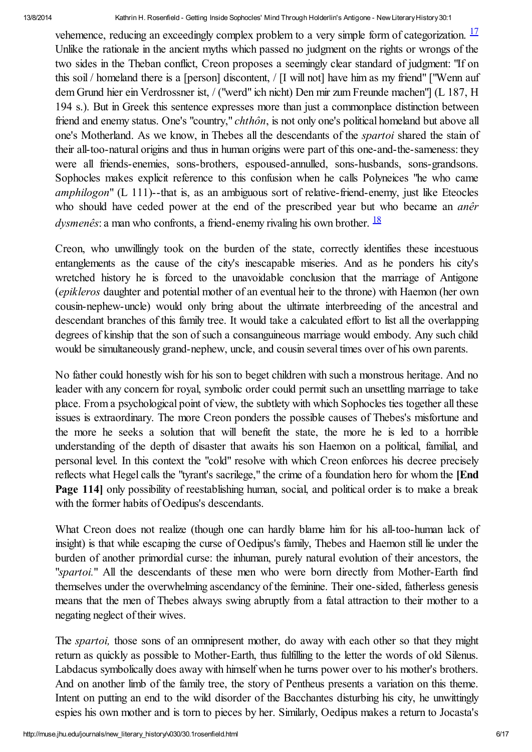<span id="page-5-0"></span>vehemence, reducing an exceedingly complex problem to a very simple form of categorization.  $\frac{17}{1}$  $\frac{17}{1}$  $\frac{17}{1}$ Unlike the rationale in the ancient myths which passed no judgment on the rights or wrongs of the two sides in the Theban conflict, Creon proposes a seemingly clear standard of judgment: "If on this soil / homeland there is a [person] discontent, / [I will not] have him as my friend" ["Wenn auf dem Grund hier ein Verdrossner ist, / ("werd" ich nicht) Den mir zum Freunde machen"] (L 187, H 194 s.). But in Greek this sentence expresses more than just a commonplace distinction between friend and enemy status. One's "country," *chthôn*, is not only one's political homeland but above all one's Motherland. As we know, in Thebes all the descendants of the *spartoi* shared the stain of their all-too-natural origins and thus in human origins were part of this one-and-the-sameness: they were all friends-enemies, sons-brothers, espoused-annulled, sons-husbands, sons-grandsons. Sophocles makes explicit reference to this confusion when he calls Polyneices "he who came *amphilogon*" (L 111)--that is, as an ambiguous sort of relative-friend-enemy, just like Eteocles who should have ceded power at the end of the prescribed year but who became an *anêr dysmenês*: a man who confronts, a friend-enemy rivaling his own brother. [18](#page-15-1)

<span id="page-5-1"></span>Creon, who unwillingly took on the burden of the state, correctly identifies these incestuous entanglements as the cause of the city's inescapable miseries. And as he ponders his city's wretched history he is forced to the unavoidable conclusion that the marriage of Antigone (*epikleros* daughter and potential mother of an eventual heir to the throne) with Haemon (her own cousin-nephew-uncle) would only bring about the ultimate interbreeding of the ancestral and descendant branches of this family tree. It would take a calculated effort to list all the overlapping degrees of kinship that the son of such a consanguineous marriage would embody. Any such child would be simultaneously grand-nephew, uncle, and cousin several times over of his own parents.

No father could honestly wish for his son to beget children with such a monstrous heritage. And no leader with any concern for royal, symbolic order could permit such an unsettling marriage to take place. From a psychological point of view, the subtlety with which Sophocles ties together all these issues is extraordinary. The more Creon ponders the possible causes of Thebes's misfortune and the more he seeks a solution that will benefit the state, the more he is led to a horrible understanding of the depth of disaster that awaits his son Haemon on a political, familial, and personal level. In this context the "cold" resolve with which Creon enforces his decree precisely reflects what Hegel calls the "tyrant's sacrilege," the crime of a foundation hero for whom the [End Page 114] only possibility of reestablishing human, social, and political order is to make a break with the former habits of Oedipus's descendants.

What Creon does not realize (though one can hardly blame him for his all-too-human lack of insight) is that while escaping the curse of Oedipus's family, Thebes and Haemon still lie under the burden of another primordial curse: the inhuman, purely natural evolution of their ancestors, the "*spartoi.*" All the descendants of these men who were born directly from Mother-Earth find themselves under the overwhelming ascendancy of the feminine. Their one-sided, fatherless genesis means that the men of Thebes always swing abruptly from a fatal attraction to their mother to a negating neglect of their wives.

The *spartoi,* those sons of an omnipresent mother, do away with each other so that they might return as quickly as possible to Mother-Earth, thus fulfilling to the letter the words of old Silenus. Labdacus symbolically does away with himself when he turns power over to his mother's brothers. And on another limb of the family tree, the story of Pentheus presents a variation on this theme. Intent on putting an end to the wild disorder of the Bacchantes disturbing his city, he unwittingly espies his own mother and is torn to pieces by her. Similarly, Oedipus makes a return to Jocasta's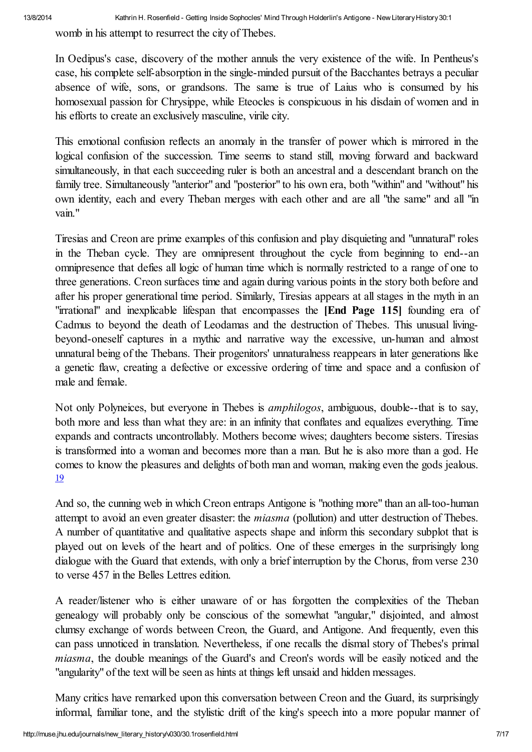womb in his attempt to resurrect the city of Thebes.

In Oedipus's case, discovery of the mother annuls the very existence of the wife. In Pentheus's case, his complete self-absorption in the single-minded pursuit of the Bacchantes betrays a peculiar absence of wife, sons, or grandsons. The same is true of Laius who is consumed by his homosexual passion for Chrysippe, while Eteocles is conspicuous in his disdain of women and in his efforts to create an exclusively masculine, virile city.

This emotional confusion reflects an anomaly in the transfer of power which is mirrored in the logical confusion of the succession. Time seems to stand still, moving forward and backward simultaneously, in that each succeeding ruler is both an ancestral and a descendant branch on the family tree. Simultaneously "anterior" and "posterior" to his own era, both "within" and "without" his own identity, each and every Theban merges with each other and are all "the same" and all "in vain."

Tiresias and Creon are prime examples of this confusion and play disquieting and "unnatural" roles in the Theban cycle. They are omnipresent throughout the cycle from beginning to end--an omnipresence that defies all logic of human time which is normally restricted to a range of one to three generations. Creon surfaces time and again during various points in the story both before and after his proper generational time period. Similarly, Tiresias appears at all stages in the myth in an "irrational" and inexplicable lifespan that encompasses the [End Page 115] founding era of Cadmus to beyond the death of Leodamas and the destruction of Thebes. This unusual livingbeyond-oneself captures in a mythic and narrative way the excessive, un-human and almost unnatural being of the Thebans. Their progenitors' unnaturalness reappears in later generations like a genetic flaw, creating a defective or excessive ordering of time and space and a confusion of male and female.

Not only Polyneices, but everyone in Thebes is *amphilogos*, ambiguous, double--that is to say, both more and less than what they are: in an infinity that conflates and equalizes everything. Time expands and contracts uncontrollably. Mothers become wives; daughters become sisters. Tiresias is transformed into a woman and becomes more than a man. But he is also more than a god. He comes to know the pleasures and delights of both man and woman, making even the gods jealous. [19](#page-15-2)

<span id="page-6-0"></span>And so, the cunning web in which Creon entraps Antigone is "nothing more" than an all-too-human attempt to avoid an even greater disaster: the *miasma* (pollution) and utter destruction of Thebes. A number of quantitative and qualitative aspects shape and inform this secondary subplot that is played out on levels of the heart and of politics. One of these emerges in the surprisingly long dialogue with the Guard that extends, with only a brief interruption by the Chorus, from verse 230 to verse 457 in the Belles Lettres edition.

A reader/listener who is either unaware of or has forgotten the complexities of the Theban genealogy will probably only be conscious of the somewhat "angular," disjointed, and almost clumsy exchange of words between Creon, the Guard, and Antigone. And frequently, even this can pass unnoticed in translation. Nevertheless, if one recalls the dismal story of Thebes's primal *miasma*, the double meanings of the Guard's and Creon's words will be easily noticed and the "angularity" of the text will be seen as hints at things left unsaid and hidden messages.

Many critics have remarked upon this conversation between Creon and the Guard, its surprisingly informal, familiar tone, and the stylistic drift of the king's speech into a more popular manner of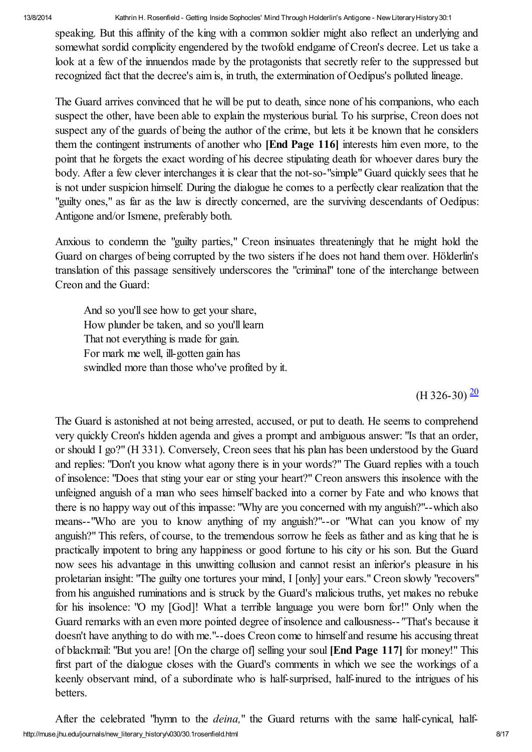13/8/2014 Kathrin H. Rosenfield - Getting Inside Sophocles' Mind Through Holderlin's Antigone - New Literary History 30:1

speaking. But this affinity of the king with a common soldier might also reflect an underlying and somewhat sordid complicity engendered by the twofold endgame of Creon's decree. Let us take a look at a few of the innuendos made by the protagonists that secretly refer to the suppressed but recognized fact that the decree's aim is, in truth, the extermination of Oedipus's polluted lineage.

The Guard arrives convinced that he will be put to death, since none of his companions, who each suspect the other, have been able to explain the mysterious burial. To his surprise, Creon does not suspect any of the guards of being the author of the crime, but lets it be known that he considers them the contingent instruments of another who [End Page 116] interests him even more, to the point that he forgets the exact wording of his decree stipulating death for whoever dares bury the body. After a few clever interchanges it is clear that the not-so-"simple" Guard quickly sees that he is not under suspicion himself. During the dialogue he comes to a perfectly clear realization that the "guilty ones," as far as the law is directly concerned, are the surviving descendants of Oedipus: Antigone and/or Ismene, preferably both.

Anxious to condemn the "guilty parties," Creon insinuates threateningly that he might hold the Guard on charges of being corrupted by the two sisters if he does not hand them over. Hölderlin's translation of this passage sensitively underscores the "criminal" tone of the interchange between Creon and the Guard:

And so you'll see how to get your share, How plunder be taken, and so you'll learn That not everything is made for gain. For mark me well, ill-gotten gain has swindled more than those who've profited by it.

## <span id="page-7-0"></span> $(H 326 - 30)$ <sup>[20](#page-15-3)</sup>

The Guard is astonished at not being arrested, accused, or put to death. He seems to comprehend very quickly Creon's hidden agenda and gives a prompt and ambiguous answer: "Is that an order, or should I go?" (H 331). Conversely, Creon sees that his plan has been understood by the Guard and replies: "Don't you know what agony there is in your words?" The Guard replies with a touch of insolence: "Does that sting your ear or sting your heart?" Creon answers this insolence with the unfeigned anguish of a man who sees himself backed into a corner by Fate and who knows that there is no happy way out of this impasse: "Why are you concerned with my anguish?"--which also means--"Who are you to know anything of my anguish?"--or "What can you know of my anguish?" This refers, of course, to the tremendous sorrow he feels as father and as king that he is practically impotent to bring any happiness or good fortune to his city or his son. But the Guard now sees his advantage in this unwitting collusion and cannot resist an inferior's pleasure in his proletarian insight: "The guilty one tortures your mind, I [only] your ears." Creon slowly "recovers" from his anguished ruminations and is struck by the Guard's malicious truths, yet makes no rebuke for his insolence: "O my [God]! What a terrible language you were born for!" Only when the Guard remarks with an even more pointed degree of insolence and callousness--*"*That's because it doesn't have anything to do with me."--does Creon come to himself and resume his accusing threat of blackmail: "But you are! [On the charge of] selling your soul [End Page 117] for money!" This first part of the dialogue closes with the Guard's comments in which we see the workings of a keenly observant mind, of a subordinate who is half-surprised, half-inured to the intrigues of his betters.

http://muse.jhu.edu/journals/new\_literary\_history/v030/30.1rosenfield.html 8/17 After the celebrated "hymn to the *deina,*" the Guard returns with the same half-cynical, half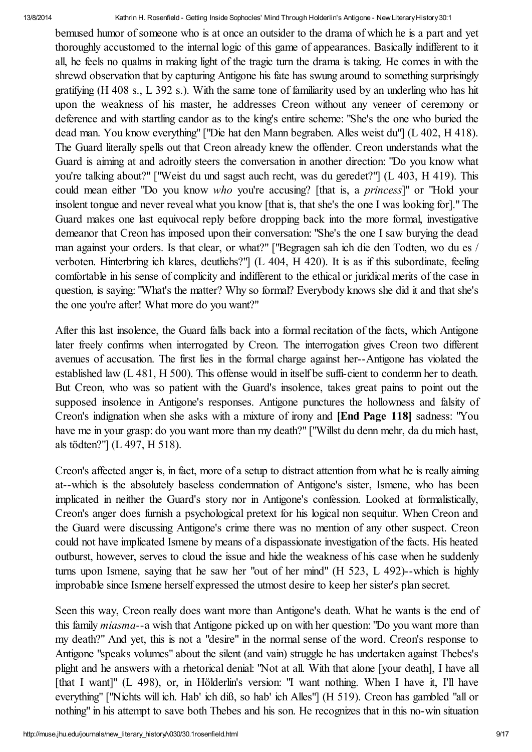bemused humor of someone who is at once an outsider to the drama of which he is a part and yet thoroughly accustomed to the internal logic of this game of appearances. Basically indifferent to it all, he feels no qualms in making light of the tragic turn the drama is taking. He comes in with the shrewd observation that by capturing Antigone his fate has swung around to something surprisingly gratifying (H 408 s., L 392 s.). With the same tone of familiarity used by an underling who has hit upon the weakness of his master, he addresses Creon without any veneer of ceremony or deference and with startling candor as to the king's entire scheme: "She's the one who buried the dead man. You know everything" ["Die hat den Mann begraben. Alles weist du"] (L 402, H 418). The Guard literally spells out that Creon already knew the offender. Creon understands what the Guard is aiming at and adroitly steers the conversation in another direction: "Do you know what you're talking about?" ["Weist du und sagst auch recht, was du geredet?"] (L 403, H 419). This could mean either "Do you know *who* you're accusing? [that is, a *princess*]" or "Hold your insolent tongue and never reveal what you know [that is, that she's the one I was looking for]." The Guard makes one last equivocal reply before dropping back into the more formal, investigative demeanor that Creon has imposed upon their conversation: "She's the one I saw burying the dead man against your orders. Is that clear, or what?" ["Begragen sah ich die den Todten, wo du es / verboten. Hinterbring ich klares, deutlichs?"] (L 404, H 420). It is as if this subordinate, feeling comfortable in his sense of complicity and indifferent to the ethical or juridical merits of the case in question, is saying: "What's the matter? Why so formal? Everybody knows she did it and that she's the one you're after! What more do you want?"

After this last insolence, the Guard falls back into a formal recitation of the facts, which Antigone later freely confirms when interrogated by Creon. The interrogation gives Creon two different avenues of accusation. The first lies in the formal charge against her--Antigone has violated the established law (L 481, H 500). This offense would in itself be suffi-cient to condemn her to death. But Creon, who was so patient with the Guard's insolence, takes great pains to point out the supposed insolence in Antigone's responses. Antigone punctures the hollowness and falsity of Creon's indignation when she asks with a mixture of irony and [End Page 118] sadness: "You have me in your grasp: do you want more than my death?" ["Willst du denn mehr, da du mich hast, als tödten?"] (L 497, H 518).

Creon's affected anger is, in fact, more of a setup to distract attention from what he is really aiming at--which is the absolutely baseless condemnation of Antigone's sister, Ismene, who has been implicated in neither the Guard's story nor in Antigone's confession. Looked at formalistically, Creon's anger does furnish a psychological pretext for his logical non sequitur. When Creon and the Guard were discussing Antigone's crime there was no mention of any other suspect. Creon could not have implicated Ismene by means of a dispassionate investigation of the facts. His heated outburst, however, serves to cloud the issue and hide the weakness of his case when he suddenly turns upon Ismene, saying that he saw her "out of her mind" (H 523, L 492)--which is highly improbable since Ismene herself expressed the utmost desire to keep her sister's plan secret.

Seen this way, Creon really does want more than Antigone's death. What he wants is the end of this family *miasma*--a wish that Antigone picked up on with her question: "Do you want more than my death?" And yet, this is not a "desire" in the normal sense of the word. Creon's response to Antigone "speaks volumes" about the silent (and vain) struggle he has undertaken against Thebes's plight and he answers with a rhetorical denial: "Not at all. With that alone [your death], I have all [that I want]" (L 498), or, in Hölderlin's version: "I want nothing. When I have it, I'll have everything" ["Nichts will ich. Hab' ich diß, so hab' ich Alles"] (H 519). Creon has gambled "all or nothing" in his attempt to save both Thebes and his son. He recognizes that in this no-win situation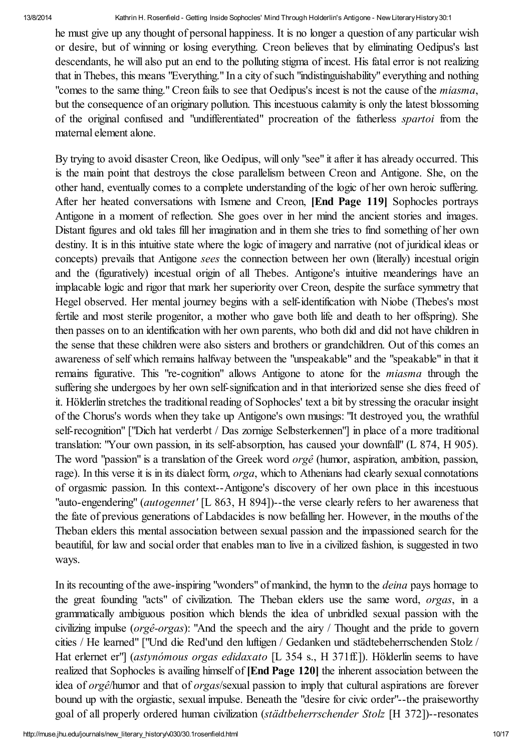he must give up any thought of personal happiness. It is no longer a question of any particular wish or desire, but of winning or losing everything. Creon believes that by eliminating Oedipus's last descendants, he will also put an end to the polluting stigma of incest. His fatal error is not realizing that in Thebes, this means "Everything." In a city of such "indistinguishability" everything and nothing "comes to the same thing." Creon fails to see that Oedipus's incest is not the cause of the *miasma*, but the consequence of an originary pollution. This incestuous calamity is only the latest blossoming of the original confused and "undifferentiated" procreation of the fatherless *spartoi* from the maternal element alone.

By trying to avoid disaster Creon, like Oedipus, will only "see" it after it has already occurred. This is the main point that destroys the close parallelism between Creon and Antigone. She, on the other hand, eventually comes to a complete understanding of the logic of her own heroic suffering. After her heated conversations with Ismene and Creon, [End Page 119] Sophocles portrays Antigone in a moment of reflection. She goes over in her mind the ancient stories and images. Distant figures and old tales fill her imagination and in them she tries to find something of her own destiny. It is in this intuitive state where the logic of imagery and narrative (not of juridical ideas or concepts) prevails that Antigone *sees* the connection between her own (literally) incestual origin and the (figuratively) incestual origin of all Thebes. Antigone's intuitive meanderings have an implacable logic and rigor that mark her superiority over Creon, despite the surface symmetry that Hegel observed. Her mental journey begins with a self-identification with Niobe (Thebes's most fertile and most sterile progenitor, a mother who gave both life and death to her offspring). She then passes on to an identification with her own parents, who both did and did not have children in the sense that these children were also sisters and brothers or grandchildren. Out of this comes an awareness of self which remains halfway between the "unspeakable" and the "speakable" in that it remains figurative. This "re-cognition" allows Antigone to atone for the *miasma* through the suffering she undergoes by her own self-signification and in that interiorized sense she dies freed of it. Hölderlin stretches the traditional reading of Sophocles' text a bit by stressing the oracular insight of the Chorus's words when they take up Antigone's own musings: "It destroyed you, the wrathful self-recognition" ["Dich hat verderbt / Das zornige Selbsterkennen"] in place of a more traditional translation: "Your own passion, in its self-absorption, has caused your downfall" (L 874, H 905). The word "passion" is a translation of the Greek word *orgê* (humor, aspiration, ambition, passion, rage). In this verse it is in its dialect form, *orga*, which to Athenians had clearly sexual connotations of orgasmic passion. In this context--Antigone's discovery of her own place in this incestuous "auto-engendering" (*autogennet'* [L 863, H 894])--the verse clearly refers to her awareness that the fate of previous generations of Labdacides is now befalling her. However, in the mouths of the Theban elders this mental association between sexual passion and the impassioned search for the beautiful, for law and social order that enables man to live in a civilized fashion, is suggested in two ways.

In its recounting of the awe-inspiring "wonders" of mankind, the hymn to the *deina* pays homage to the great founding "acts" of civilization. The Theban elders use the same word, *orgas*, in a grammatically ambiguous position which blends the idea of unbridled sexual passion with the civilizing impulse (*orgê-orgas*): "And the speech and the airy / Thought and the pride to govern cities / He learned" ["Und die Red'und den luftigen / Gedanken und städtebeherrschenden Stolz / Hat erlernet er"] (*astynómous orgas edidaxato* [L 354 s., H 371ff.]). Hölderlin seems to have realized that Sophocles is availing himself of [End Page 120] the inherent association between the idea of *orgê*/humor and that of *orgas*/sexual passion to imply that cultural aspirations are forever bound up with the orgiastic, sexual impulse. Beneath the "desire for civic order"--the praiseworthy goal of all properly ordered human civilization (*städtbeherrschender Stolz* [H 372])--resonates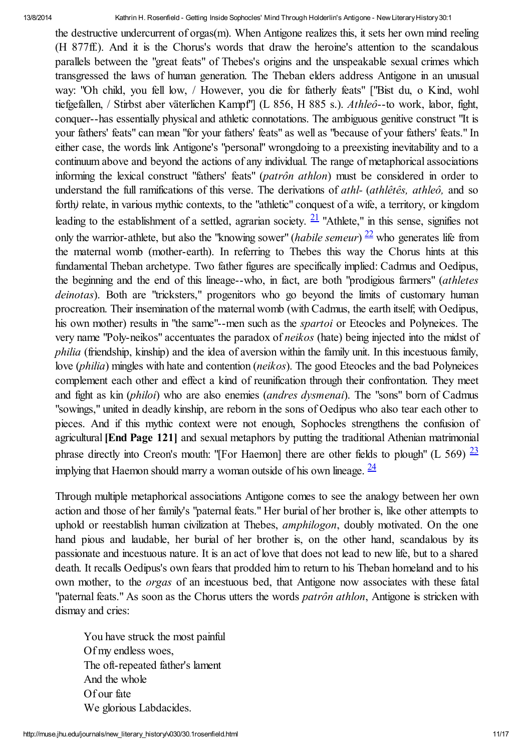<span id="page-10-1"></span><span id="page-10-0"></span>the destructive undercurrent of orgas(m). When Antigone realizes this, it sets her own mind reeling (H 877ff.). And it is the Chorus's words that draw the heroine's attention to the scandalous parallels between the "great feats" of Thebes's origins and the unspeakable sexual crimes which transgressed the laws of human generation. The Theban elders address Antigone in an unusual way: "Oh child, you fell low, / However, you die for fatherly feats" ["Bist du, o Kind, wohl tiefgefallen, / Stirbst aber väterlichen Kampf"] (L 856, H 885 s.). *Athleô*--to work, labor, fight, conquer--has essentially physical and athletic connotations. The ambiguous genitive construct "It is your fathers' feats" can mean "for your fathers' feats" as well as "because of your fathers' feats." In either case, the words link Antigone's "personal" wrongdoing to a preexisting inevitability and to a continuum above and beyond the actions of any individual. The range of metaphorical associations informing the lexical construct "fathers' feats" (*patrôn athlon*) must be considered in order to understand the full ramifications of this verse. The derivations of *athl-* (*athlêtês, athleô,* and so forth*)* relate, in various mythic contexts, to the "athletic" conquest of a wife, a territory, or kingdom leading to the establishment of a settled, agrarian society.  $\frac{21}{1}$  $\frac{21}{1}$  $\frac{21}{1}$  "Athlete," in this sense, signifies not only the warrior-athlete, but also the "knowing sower" (*habile semeur*) [22](#page-15-5) who generates life from the maternal womb (mother-earth). In referring to Thebes this way the Chorus hints at this fundamental Theban archetype. Two father figures are specifically implied: Cadmus and Oedipus, the beginning and the end of this lineage--who, in fact, are both "prodigious farmers" (*athletes deinotas*). Both are "tricksters," progenitors who go beyond the limits of customary human procreation. Their insemination of the maternal womb (with Cadmus, the earth itself; with Oedipus, his own mother) results in "the same"--men such as the *spartoi* or Eteocles and Polyneices. The very name "Poly-neikos" accentuates the paradox of *neikos* (hate) being injected into the midst of *philia* (friendship, kinship) and the idea of aversion within the family unit. In this incestuous family, love (*philia*) mingles with hate and contention (*neikos*). The good Eteocles and the bad Polyneices complement each other and effect a kind of reunification through their confrontation. They meet and fight as kin (*philoi*) who are also enemies (*andres dysmenai*). The "sons" born of Cadmus "sowings," united in deadly kinship, are reborn in the sons of Oedipus who also tear each other to pieces. And if this mythic context were not enough, Sophocles strengthens the confusion of agricultural [End Page 121] and sexual metaphors by putting the traditional Athenian matrimonial phrase directly into Creon's mouth: "[For Haemon] there are other fields to plough" (L 569)  $\frac{23}{2}$  $\frac{23}{2}$  $\frac{23}{2}$ implying that Haemon should marry a woman outside of his own lineage.  $\frac{24}{3}$  $\frac{24}{3}$  $\frac{24}{3}$ 

<span id="page-10-3"></span><span id="page-10-2"></span>Through multiple metaphorical associations Antigone comes to see the analogy between her own action and those of her family's "paternal feats." Her burial of her brother is, like other attempts to uphold or reestablish human civilization at Thebes, *amphilogon*, doubly motivated. On the one hand pious and laudable, her burial of her brother is, on the other hand, scandalous by its passionate and incestuous nature. It is an act of love that does not lead to new life, but to a shared death. It recalls Oedipus's own fears that prodded him to return to his Theban homeland and to his own mother, to the *orgas* of an incestuous bed, that Antigone now associates with these fatal "paternal feats." As soon as the Chorus utters the words *patrôn athlon*, Antigone is stricken with dismay and cries:

You have struck the most painful Of my endless woes, The oft-repeated father's lament And the whole Of our fate We glorious Labdacides.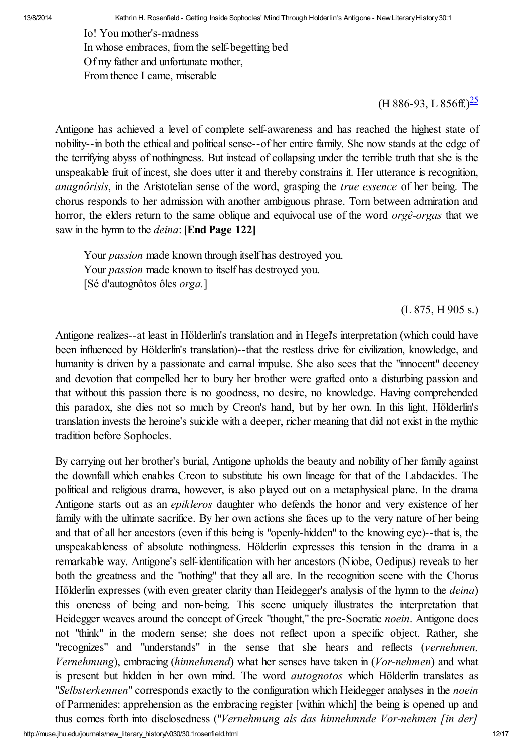Io! You mother's-madness In whose embraces, from the self-begetting bed Of my father and unfortunate mother, From thence I came, miserable

<span id="page-11-0"></span> $(H 886-93, L 856ff)^{25}$  $(H 886-93, L 856ff)^{25}$  $(H 886-93, L 856ff)^{25}$ 

Antigone has achieved a level of complete self-awareness and has reached the highest state of nobility--in both the ethical and political sense--of her entire family. She now stands at the edge of the terrifying abyss of nothingness. But instead of collapsing under the terrible truth that she is the unspeakable fruit of incest, she does utter it and thereby constrains it. Her utterance is recognition, *anagnôrisis*, in the Aristotelian sense of the word, grasping the *true essence* of her being. The chorus responds to her admission with another ambiguous phrase. Torn between admiration and horror, the elders return to the same oblique and equivocal use of the word *orgê-orgas* that we saw in the hymn to the *deina*: [End Page 122]

Your *passion* made known through itself has destroyed you. Your *passion* made known to itself has destroyed you. [Sé d'autognôtos ôles *orga.*]

(L 875, H 905 s.)

Antigone realizes--at least in Hölderlin's translation and in Hegel's interpretation (which could have been influenced by Hölderlin's translation)--that the restless drive for civilization, knowledge, and humanity is driven by a passionate and carnal impulse. She also sees that the "innocent" decency and devotion that compelled her to bury her brother were grafted onto a disturbing passion and that without this passion there is no goodness, no desire, no knowledge. Having comprehended this paradox, she dies not so much by Creon's hand, but by her own. In this light, Hölderlin's translation invests the heroine's suicide with a deeper, richer meaning that did not exist in the mythic tradition before Sophocles.

By carrying out her brother's burial, Antigone upholds the beauty and nobility of her family against the downfall which enables Creon to substitute his own lineage for that of the Labdacides. The political and religious drama, however, is also played out on a metaphysical plane. In the drama Antigone starts out as an *epikleros* daughter who defends the honor and very existence of her family with the ultimate sacrifice. By her own actions she faces up to the very nature of her being and that of all her ancestors (even if this being is "openly-hidden" to the knowing eye)--that is, the unspeakableness of absolute nothingness. Hölderlin expresses this tension in the drama in a remarkable way. Antigone's self-identification with her ancestors (Niobe, Oedipus) reveals to her both the greatness and the "nothing" that they all are. In the recognition scene with the Chorus Hölderlin expresses (with even greater clarity than Heidegger's analysis of the hymn to the *deina*) this oneness of being and non-being. This scene uniquely illustrates the interpretation that Heidegger weaves around the concept of Greek "thought," the pre-Socratic *noein*. Antigone does not "think" in the modern sense; she does not reflect upon a specific object. Rather, she "recognizes" and "understands" in the sense that she hears and reflects (*vernehmen, Vernehmung*), embracing (*hinnehmend*) what her senses have taken in (*Vor-nehmen*) and what is present but hidden in her own mind. The word *autognotos* which Hölderlin translates as "*Selbsterkennen*" corresponds exactly to the configuration which Heidegger analyses in the *noein* of Parmenides: apprehension as the embracing register [within which] the being is opened up and thus comes forth into disclosedness ("*Vernehmung als das hinnehmnde Vor-nehmen [in der]*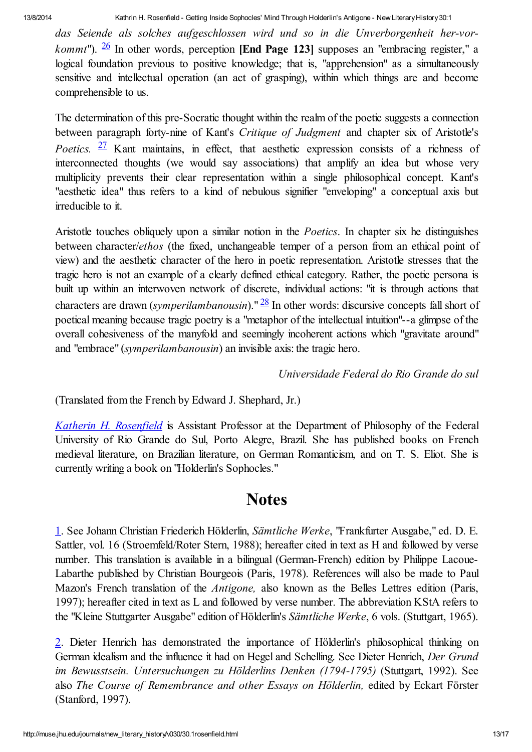<span id="page-12-3"></span>*das Seiende als solches aufgeschlossen wird und so in die Unverborgenheit her-vorkommt*"). [26](#page-16-1) In other words, perception [End Page 123] supposes an "embracing register," a logical foundation previous to positive knowledge; that is, "apprehension" as a simultaneously sensitive and intellectual operation (an act of grasping), within which things are and become comprehensible to us.

<span id="page-12-4"></span>The determination of this pre-Socratic thought within the realm of the poetic suggests a connection between paragraph forty-nine of Kant's *Critique of Judgment* and chapter six of Aristotle's Poetics. <sup>[27](#page-16-2)</sup> Kant maintains, in effect, that aesthetic expression consists of a richness of interconnected thoughts (we would say associations) that amplify an idea but whose very multiplicity prevents their clear representation within a single philosophical concept. Kant's "aesthetic idea" thus refers to a kind of nebulous signifier "enveloping" a conceptual axis but irreducible to it.

Aristotle touches obliquely upon a similar notion in the *Poetics*. In chapter six he distinguishes between character/*ethos* (the fixed, unchangeable temper of a person from an ethical point of view) and the aesthetic character of the hero in poetic representation. Aristotle stresses that the tragic hero is not an example of a clearly defined ethical category. Rather, the poetic persona is built up within an interwoven network of discrete, individual actions: "it is through actions that characters are drawn (*symperilambanousin*)." [28](#page-16-3) In other words: discursive concepts fall short of poetical meaning because tragic poetry is a "metaphor of the intellectual intuition"--a glimpse of the overall cohesiveness of the manyfold and seemingly incoherent actions which "gravitate around" and "embrace" (*symperilambanousin*) an invisible axis: the tragic hero.

<span id="page-12-5"></span>*Universidade Federal do Rio Grande do sul*

(Translated from the French by Edward J. Shephard, Jr.)

<span id="page-12-0"></span>*Katherin H. Rosenfield* is Assistant Professor at the Department of Philosophy of the Federal University of Rio Grande do Sul, Porto Alegre, Brazil. She has published books on French medieval literature, on Brazilian literature, on German Romanticism, and on T. S. Eliot. She is currently writing a book on "Holderlin's Sophocles."

## **Notes**

<span id="page-12-1"></span>[1](#page-0-0). See Johann Christian Friederich Hölderlin, *Sämtliche Werke*, "Frankfurter Ausgabe," ed. D. E. Sattler, vol. 16 (Stroemfeld/Roter Stern, 1988); hereafter cited in text as H and followed by verse number. This translation is available in a bilingual (German-French) edition by Philippe Lacoue-Labarthe published by Christian Bourgeois (Paris, 1978). References will also be made to Paul Mazon's French translation of the *Antigone,* also known as the Belles Lettres edition (Paris, 1997); hereafter cited in text as L and followed by verse number. The abbreviation KStA refers to the "Kleine Stuttgarter Ausgabe" edition of Hölderlin's *Sämtliche Werke*, 6 vols. (Stuttgart, 1965).

<span id="page-12-2"></span>[2](#page-0-1). Dieter Henrich has demonstrated the importance of Hölderlin's philosophical thinking on German idealism and the influence it had on Hegel and Schelling. See Dieter Henrich, *Der Grund im Bewusstsein. Untersuchungen zu Hölderlins Denken (1794-1795)* (Stuttgart, 1992). See also *The Course of Remembrance and other Essays on Hölderlin,* edited by Eckart Förster (Stanford, 1997).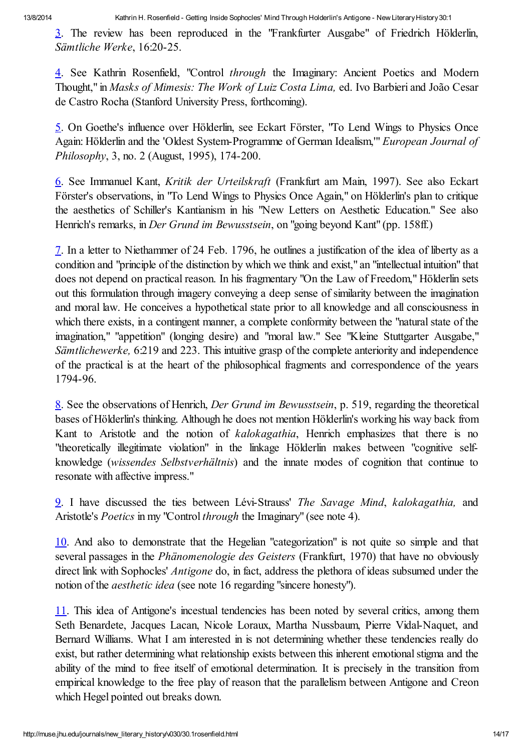<span id="page-13-0"></span>[3](#page-0-2). The review has been reproduced in the "Frankfurter Ausgabe" of Friedrich Hölderlin, *Sämtliche Werke*, 16:20-25.

<span id="page-13-1"></span>[4](#page-0-3). See Kathrin Rosenfield, "Control *through* the Imaginary: Ancient Poetics and Modern Thought," in *Masks of Mimesis: The Work of Luiz Costa Lima,* ed. Ivo Barbieri and João Cesar de Castro Rocha (Stanford University Press, forthcoming).

<span id="page-13-2"></span>[5](#page-0-4). On Goethe's influence over Hölderlin, see Eckart Förster, "To Lend Wings to Physics Once Again: Hölderlin and the 'Oldest System-Programme of German Idealism,'" *European Journal of Philosophy*, 3, no. 2 (August, 1995), 174-200.

<span id="page-13-3"></span>[6](#page-0-5). See Immanuel Kant, *Kritik der Urteilskraft* (Frankfurt am Main, 1997). See also Eckart Förster's observations, in "To Lend Wings to Physics Once Again," on Hölderlin's plan to critique the aesthetics of Schiller's Kantianism in his "New Letters on Aesthetic Education." See also Henrich's remarks, in *Der Grund im Bewusstsein*, on "going beyond Kant" (pp. 158ff.)

<span id="page-13-4"></span>[7](#page-1-0). In a letter to Niethammer of 24 Feb. 1796, he outlines a justification of the idea of liberty as a condition and "principle of the distinction by which we think and exist," an "intellectual intuition" that does not depend on practical reason. In his fragmentary "On the Law of Freedom," Hölderlin sets out this formulation through imagery conveying a deep sense of similarity between the imagination and moral law. He conceives a hypothetical state prior to all knowledge and all consciousness in which there exists, in a contingent manner, a complete conformity between the "natural state of the imagination," "appetition" (longing desire) and "moral law." See "Kleine Stuttgarter Ausgabe," *Sämtlichewerke,* 6:219 and 223. This intuitive grasp of the complete anteriority and independence of the practical is at the heart of the philosophical fragments and correspondence of the years 1794-96.

<span id="page-13-5"></span>[8](#page-1-1). See the observations of Henrich, *Der Grund im Bewusstsein*, p. 519, regarding the theoretical bases of Hölderlin's thinking. Although he does not mention Hölderlin's working his way back from Kant to Aristotle and the notion of *kalokagathia*, Henrich emphasizes that there is no "theoretically illegitimate violation" in the linkage Hölderlin makes between "cognitive selfknowledge (*wissendes Selbstverhältnis*) and the innate modes of cognition that continue to resonate with affective impress."

<span id="page-13-6"></span>[9](#page-1-2). I have discussed the ties between Lévi-Strauss' *The Savage Mind*, *kalokagathia,* and Aristotle's *Poetics* in my "Control *through* the Imaginary" (see note 4).

<span id="page-13-7"></span>[10.](#page-1-3) And also to demonstrate that the Hegelian "categorization" is not quite so simple and that several passages in the *Phänomenologie des Geisters* (Frankfurt, 1970) that have no obviously direct link with Sophocles' *Antigone* do, in fact, address the plethora of ideas subsumed under the notion of the *aesthetic idea* (see note 16 regarding "sincere honesty").

<span id="page-13-8"></span>[11.](#page-2-0) This idea of Antigone's incestual tendencies has been noted by several critics, among them Seth Benardete, Jacques Lacan, Nicole Loraux, Martha Nussbaum, Pierre Vidal-Naquet, and Bernard Williams. What I am interested in is not determining whether these tendencies really do exist, but rather determining what relationship exists between this inherent emotional stigma and the ability of the mind to free itself of emotional determination. It is precisely in the transition from empirical knowledge to the free play of reason that the parallelism between Antigone and Creon which Hegel pointed out breaks down.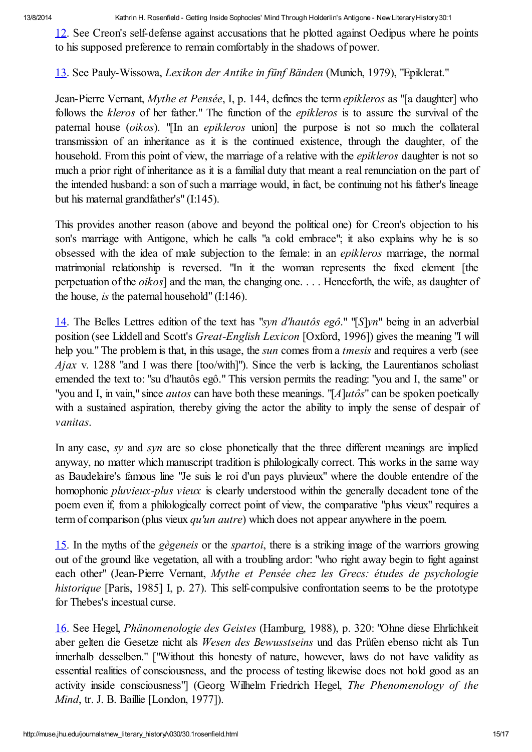13/8/2014 Kathrin H. Rosenfield - Getting Inside Sophocles' Mind Through Holderlin's Antigone - New Literary History 30:1

<span id="page-14-0"></span>[12.](#page-2-1) See Creon's self-defense against accusations that he plotted against Oedipus where he points to his supposed preference to remain comfortably in the shadows of power.

<span id="page-14-1"></span>[13.](#page-2-2) See Pauly-Wissowa, *Lexikon der Antike in fünf Bänden* (Munich, 1979), "Epiklerat."

Jean-Pierre Vernant, *Mythe et Pensée*, I, p. 144, defines the term *epikleros* as "[a daughter] who follows the *kleros* of her father." The function of the *epikleros* is to assure the survival of the paternal house (*oikos*). "[In an *epikleros* union] the purpose is not so much the collateral transmission of an inheritance as it is the continued existence, through the daughter, of the household. From this point of view, the marriage of a relative with the *epikleros* daughter is not so much a prior right of inheritance as it is a familial duty that meant a real renunciation on the part of the intended husband: a son of such a marriage would, in fact, be continuing not his father's lineage but his maternal grandfather's" (I:145).

This provides another reason (above and beyond the political one) for Creon's objection to his son's marriage with Antigone, which he calls "a cold embrace"; it also explains why he is so obsessed with the idea of male subjection to the female: in an *epikleros* marriage, the normal matrimonial relationship is reversed. "In it the woman represents the fixed element [the perpetuation of the *oikos*] and the man, the changing one. . . . Henceforth, the wife, as daughter of the house, *is* the paternal household" (I:146).

<span id="page-14-2"></span>[14.](#page-3-0) The Belles Lettres edition of the text has "*syn d'hautôs egô*." "[*S*]*yn*" being in an adverbial position (see Liddell and Scott's *Great-English Lexicon* [Oxford, 1996]) gives the meaning "I will help you." The problem is that, in this usage, the *sun* comes from a *tmesis* and requires a verb (see *Ajax* v. 1288 "and I was there [too/with]"). Since the verb is lacking, the Laurentianos scholiast emended the text to: "su d'hautôs egô." This version permits the reading: "you and I, the same" or "you and I, in vain," since *autos* can have both these meanings. "[*A*]*utôs*" can be spoken poetically with a sustained aspiration, thereby giving the actor the ability to imply the sense of despair of *vanitas*.

In any case, *sy* and *syn* are so close phonetically that the three different meanings are implied anyway, no matter which manuscript tradition is philologically correct. This works in the same way as Baudelaire's famous line "Je suis le roi d'un pays pluvieux" where the double entendre of the homophonic *pluvieux-plus vieux* is clearly understood within the generally decadent tone of the poem even if, from a philologically correct point of view, the comparative "plus vieux" requires a term of comparison (plus vieux *qu'un autre*) which does not appear anywhere in the poem.

<span id="page-14-3"></span>[15.](#page-4-0) In the myths of the *gègeneis* or the *spartoi*, there is a striking image of the warriors growing out of the ground like vegetation, all with a troubling ardor: "who right away begin to fight against each other" (Jean-Pierre Vernant, *Mythe et Pensée chez les Grecs: études de psychologie historique* [Paris, 1985] I, p. 27). This self-compulsive confrontation seems to be the prototype for Thebes's incestual curse.

<span id="page-14-4"></span>[16.](#page-4-1) See Hegel, *Phänomenologie des Geistes* (Hamburg, 1988), p. 320: "Ohne diese Ehrlichkeit aber gelten die Gesetze nicht als *Wesen des Bewusstseins* und das Prüfen ebenso nicht als Tun innerhalb desselben." ["Without this honesty of nature, however, laws do not have validity as essential realities of consciousness, and the process of testing likewise does not hold good as an activity inside consciousness"] (Georg Wilhelm Friedrich Hegel, *The Phenomenology of the Mind*, tr. J. B. Baillie [London, 1977]).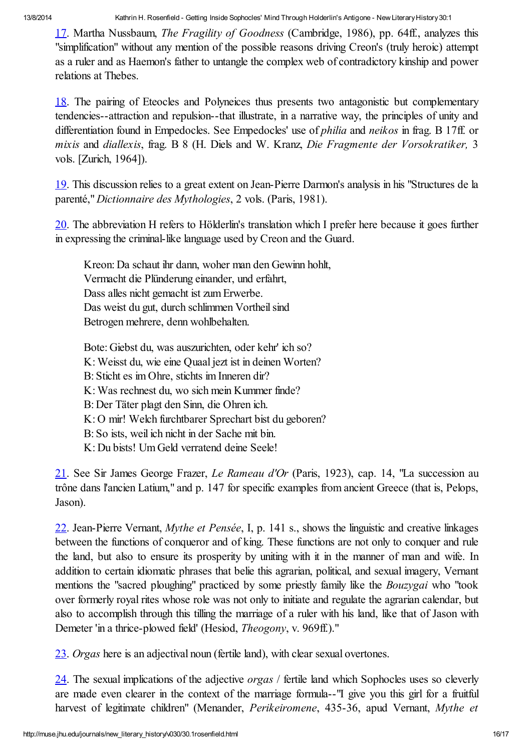13/8/2014 Kathrin H. Rosenfield - Getting Inside Sophocles' Mind Through Holderlin's Antigone - New Literary History 30:1

<span id="page-15-0"></span>[17.](#page-5-0) Martha Nussbaum, *The Fragility of Goodness* (Cambridge, 1986), pp. 64ff., analyzes this "simplification" without any mention of the possible reasons driving Creon's (truly heroic) attempt as a ruler and as Haemon's father to untangle the complex web of contradictory kinship and power relations at Thebes.

<span id="page-15-1"></span>[18.](#page-5-1) The pairing of Eteocles and Polyneices thus presents two antagonistic but complementary tendencies--attraction and repulsion--that illustrate, in a narrative way, the principles of unity and differentiation found in Empedocles. See Empedocles' use of *philia* and *neikos* in frag. B 17ff. or *mixis* and *diallexis*, frag. B 8 (H. Diels and W. Kranz, *Die Fragmente der Vorsokratiker,* 3 vols. [Zurich, 1964]).

<span id="page-15-2"></span>[19.](#page-6-0) This discussion relies to a great extent on Jean-Pierre Darmon's analysis in his "Structures de la parenté," *Dictionnaire des Mythologies*, 2 vols. (Paris, 1981).

<span id="page-15-3"></span>[20.](#page-7-0) The abbreviation H refers to Hölderlin's translation which I prefer here because it goes further in expressing the criminal-like language used by Creon and the Guard.

Kreon: Da schaut ihr dann, woher man den Gewinn hohlt, Vermacht die Plünderung einander, und erfahrt, Dass alles nicht gemacht ist zum Erwerbe. Das weist du gut, durch schlimmen Vortheil sind Betrogen mehrere, denn wohlbehalten.

Bote: Giebst du, was auszurichten, oder kehr' ich so? K: Weisst du, wie eine Quaal jezt ist in deinen Worten? B: Sticht es im Ohre, stichts im Inneren dir? K: Was rechnest du, wo sich mein Kummer finde? B: Der Täter plagt den Sinn, die Ohren ich. K: O mir! Welch furchtbarer Sprechart bist du geboren? B: So ists, weil ich nicht in der Sache mit bin. K: Du bists! Um Geld verratend deine Seele!

<span id="page-15-4"></span>[21.](#page-10-0) See Sir James George Frazer, *Le Rameau d'Or* (Paris, 1923), cap. 14, "La succession au trône dans l'ancien Latium," and p. 147 for specific examples from ancient Greece (that is, Pelops, Jason).

<span id="page-15-5"></span>[22.](#page-10-1) Jean-Pierre Vernant, *Mythe et Pensée*, I, p. 141 s., shows the linguistic and creative linkages between the functions of conqueror and of king. These functions are not only to conquer and rule the land, but also to ensure its prosperity by uniting with it in the manner of man and wife. In addition to certain idiomatic phrases that belie this agrarian, political, and sexual imagery, Vernant mentions the "sacred ploughing" practiced by some priestly family like the *Bouzygai* who "took over formerly royal rites whose role was not only to initiate and regulate the agrarian calendar, but also to accomplish through this tilling the marriage of a ruler with his land, like that of Jason with Demeter 'in a thrice-plowed field' (Hesiod, *Theogony*, v. 969ff.)."

<span id="page-15-6"></span>[23.](#page-10-2) *Orgas* here is an adjectival noun (fertile land), with clear sexual overtones.

<span id="page-15-7"></span>[24.](#page-10-3) The sexual implications of the adjective *orgas* / fertile land which Sophocles uses so cleverly are made even clearer in the context of the marriage formula--"I give you this girl for a fruitful harvest of legitimate children" (Menander, *Perikeiromene*, 435-36, apud Vernant, *Mythe et*